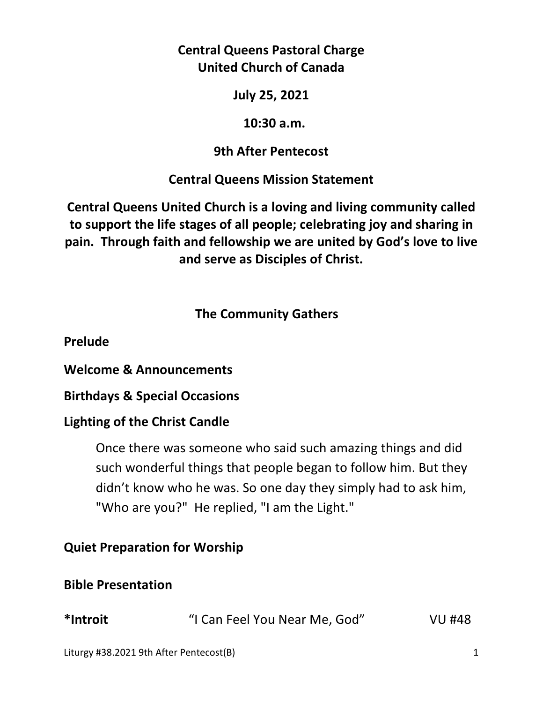# **Central Queens Pastoral Charge United Church of Canada**

**July 25, 2021** 

## **10:30 a.m.**

# **9th After Pentecost**

# **Central Queens Mission Statement**

**Central Queens United Church is a loving and living community called to support the life stages of all people; celebrating joy and sharing in pain. Through faith and fellowship we are united by God's love to live and serve as Disciples of Christ.**

# **The Community Gathers**

**Prelude** 

**Welcome & Announcements** 

**Birthdays & Special Occasions** 

# **Lighting of the Christ Candle**

Once there was someone who said such amazing things and did such wonderful things that people began to follow him. But they didn't know who he was. So one day they simply had to ask him, "Who are you?" He replied, "I am the Light."

# **Quiet Preparation for Worship**

# **Bible Presentation**

| *Introit | "I Can Feel You Near Me, God" | <b>VU #48</b> |
|----------|-------------------------------|---------------|
|          |                               |               |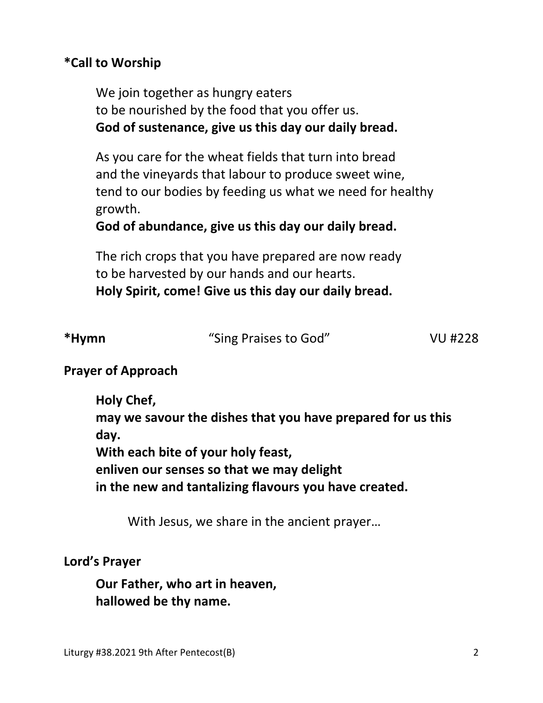## **\*Call to Worship**

We join together as hungry eaters to be nourished by the food that you offer us.  **God of sustenance, give us this day our daily bread.**

 As you care for the wheat fields that turn into bread and the vineyards that labour to produce sweet wine, tend to our bodies by feeding us what we need for healthy growth.

 **God of abundance, give us this day our daily bread.**

 The rich crops that you have prepared are now ready to be harvested by our hands and our hearts.  **Holy Spirit, come! Give us this day our daily bread.**

| *Hymn | "Sing Praises to God" | <b>VU #228</b> |
|-------|-----------------------|----------------|
|       |                       |                |

## **Prayer of Approach**

**Holy Chef, may we savour the dishes that you have prepared for us this day. With each bite of your holy feast, enliven our senses so that we may delight in the new and tantalizing flavours you have created.** 

With Jesus, we share in the ancient prayer…

#### **Lord's Prayer**

**Our Father, who art in heaven, hallowed be thy name.**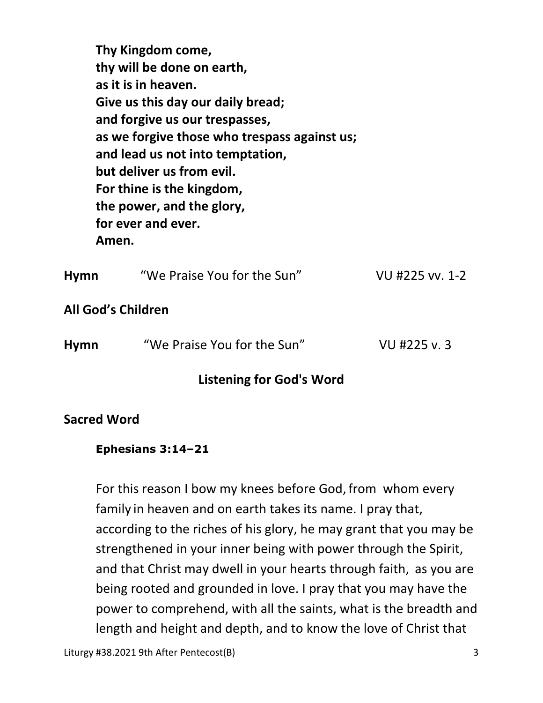**Thy Kingdom come, thy will be done on earth, as it is in heaven. Give us this day our daily bread; and forgive us our trespasses, as we forgive those who trespass against us; and lead us not into temptation, but deliver us from evil. For thine is the kingdom, the power, and the glory, for ever and ever. Amen.** 

| <b>Hymn</b>               | "We Praise You for the Sun" | VU #225 vv. 1-2 |
|---------------------------|-----------------------------|-----------------|
| <b>All God's Children</b> |                             |                 |
| <b>Hymn</b>               | "We Praise You for the Sun" | VU #225 v.3     |

# **Listening for God's Word**

#### **Sacred Word**

#### **Ephesians 3:14–21**

For this reason I bow my knees before God, from whom every family in heaven and on earth takes its name. I pray that, according to the riches of his glory, he may grant that you may be strengthened in your inner being with power through the Spirit, and that Christ may dwell in your hearts through faith, as you are being rooted and grounded in love. I pray that you may have the power to comprehend, with all the saints, what is the breadth and length and height and depth, and to know the love of Christ that

Liturgy #38.2021 9th After Pentecost(B) 3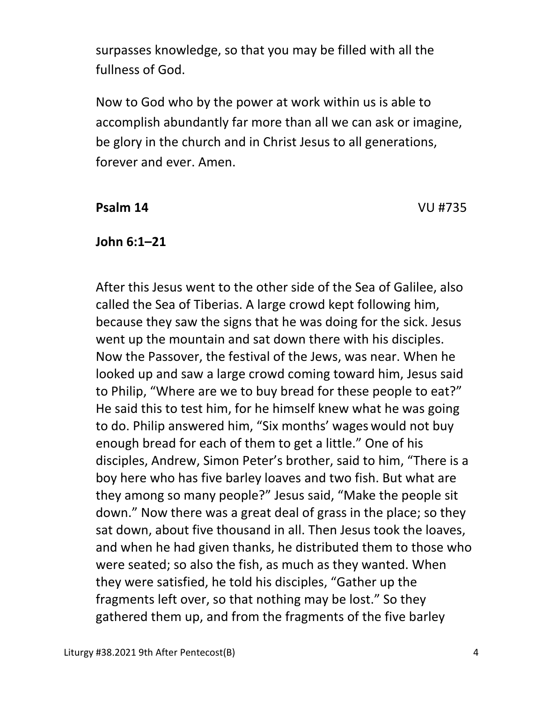surpasses knowledge, so that you may be filled with all the fullness of God.

Now to God who by the power at work within us is able to accomplish abundantly far more than all we can ask or imagine, be glory in the church and in Christ Jesus to all generations, forever and ever. Amen.

#### **Psalm 14** VU #735

#### **John 6:1–21**

 After this Jesus went to the other side of the Sea of Galilee, also called the Sea of Tiberias. A large crowd kept following him, because they saw the signs that he was doing for the sick. Jesus went up the mountain and sat down there with his disciples. Now the Passover, the festival of the Jews, was near. When he looked up and saw a large crowd coming toward him, Jesus said to Philip, "Where are we to buy bread for these people to eat?" He said this to test him, for he himself knew what he was going to do. Philip answered him, "Six months' wages would not buy enough bread for each of them to get a little." One of his disciples, Andrew, Simon Peter's brother, said to him, "There is a boy here who has five barley loaves and two fish. But what are they among so many people?" Jesus said, "Make the people sit down." Now there was a great deal of grass in the place; so they sat down, about five thousand in all. Then Jesus took the loaves, and when he had given thanks, he distributed them to those who were seated; so also the fish, as much as they wanted. When they were satisfied, he told his disciples, "Gather up the fragments left over, so that nothing may be lost." So they gathered them up, and from the fragments of the five barley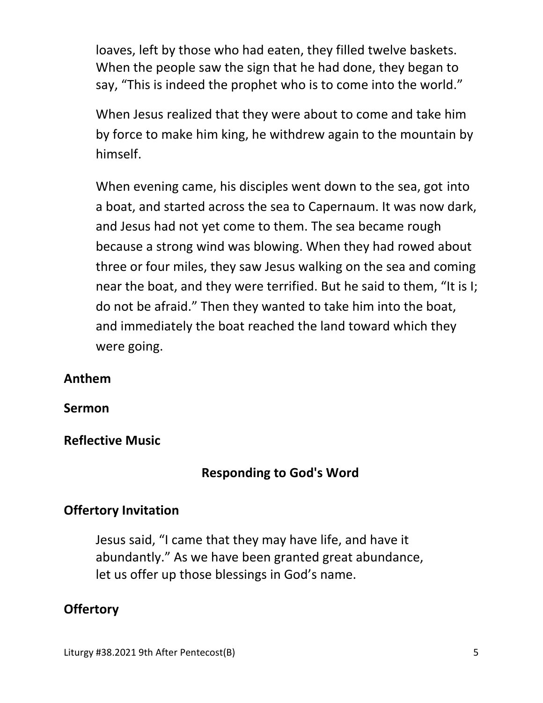loaves, left by those who had eaten, they filled twelve baskets. When the people saw the sign that he had done, they began to say, "This is indeed the prophet who is to come into the world."

When Jesus realized that they were about to come and take him by force to make him king, he withdrew again to the mountain by himself.

When evening came, his disciples went down to the sea, got into a boat, and started across the sea to Capernaum. It was now dark, and Jesus had not yet come to them. The sea became rough because a strong wind was blowing. When they had rowed about three or four miles, they saw Jesus walking on the sea and coming near the boat, and they were terrified. But he said to them, "It is I; do not be afraid." Then they wanted to take him into the boat, and immediately the boat reached the land toward which they were going.

#### **Anthem**

**Sermon** 

**Reflective Music** 

## **Responding to God's Word**

## **Offertory Invitation**

Jesus said, "I came that they may have life, and have it abundantly." As we have been granted great abundance, let us offer up those blessings in God's name.

## **Offertory**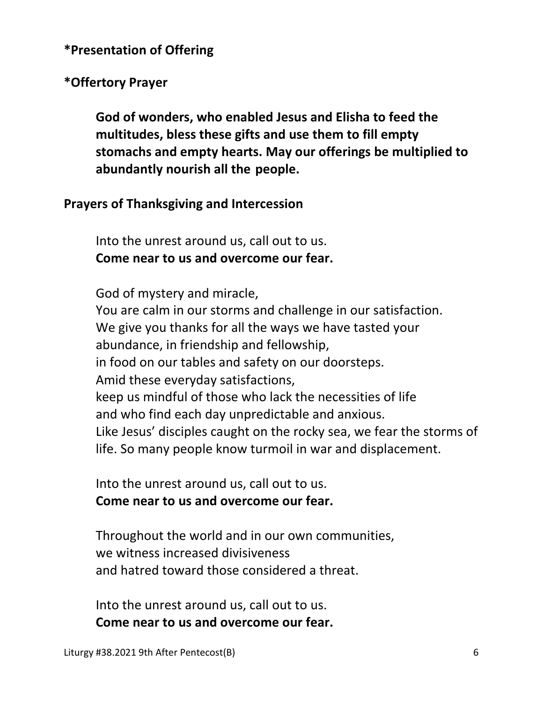## **\*Presentation of Offering**

## **\*Offertory Prayer**

**God of wonders, who enabled Jesus and Elisha to feed the multitudes, bless these gifts and use them to fill empty stomachs and empty hearts. May our offerings be multiplied to abundantly nourish all the people.** 

#### **Prayers of Thanksgiving and Intercession**

Into the unrest around us, call out to us. **Come near to us and overcome our fear.** 

God of mystery and miracle,

 You are calm in our storms and challenge in our satisfaction. We give you thanks for all the ways we have tasted your abundance, in friendship and fellowship, in food on our tables and safety on our doorsteps. Amid these everyday satisfactions, keep us mindful of those who lack the necessities of life and who find each day unpredictable and anxious. Like Jesus' disciples caught on the rocky sea, we fear the storms of life. So many people know turmoil in war and displacement.

 Into the unrest around us, call out to us.  **Come near to us and overcome our fear.** 

 Throughout the world and in our own communities, we witness increased divisiveness and hatred toward those considered a threat.

 Into the unrest around us, call out to us.  **Come near to us and overcome our fear.**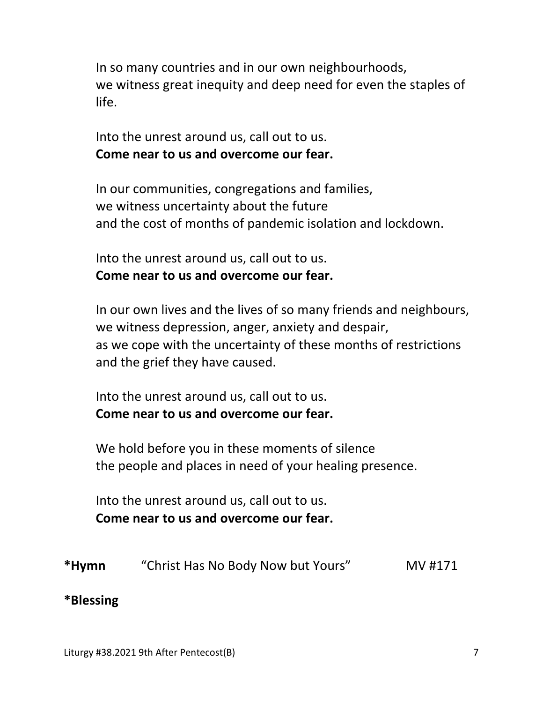In so many countries and in our own neighbourhoods, we witness great inequity and deep need for even the staples of life.

 Into the unrest around us, call out to us.  **Come near to us and overcome our fear.** 

 In our communities, congregations and families, we witness uncertainty about the future and the cost of months of pandemic isolation and lockdown.

 Into the unrest around us, call out to us.  **Come near to us and overcome our fear.** 

 In our own lives and the lives of so many friends and neighbours, we witness depression, anger, anxiety and despair, as we cope with the uncertainty of these months of restrictions and the grief they have caused.

 Into the unrest around us, call out to us.  **Come near to us and overcome our fear.** 

 We hold before you in these moments of silence the people and places in need of your healing presence.

 Into the unrest around us, call out to us.  **Come near to us and overcome our fear.** 

| *Hymn | "Christ Has No Body Now but Yours" | MV #171 |
|-------|------------------------------------|---------|
|-------|------------------------------------|---------|

#### **\*Blessing**